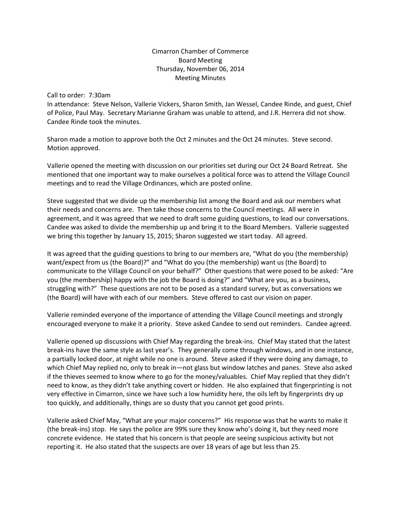## Cimarron Chamber of Commerce Board Meeting Thursday, November 06, 2014 Meeting Minutes

Call to order: 7:30am

In attendance: Steve Nelson, Vallerie Vickers, Sharon Smith, Jan Wessel, Candee Rinde, and guest, Chief of Police, Paul May. Secretary Marianne Graham was unable to attend, and J.R. Herrera did not show. Candee Rinde took the minutes.

Sharon made a motion to approve both the Oct 2 minutes and the Oct 24 minutes. Steve second. Motion approved.

Vallerie opened the meeting with discussion on our priorities set during our Oct 24 Board Retreat. She mentioned that one important way to make ourselves a political force was to attend the Village Council meetings and to read the Village Ordinances, which are posted online.

Steve suggested that we divide up the membership list among the Board and ask our members what their needs and concerns are. Then take those concerns to the Council meetings. All were in agreement, and it was agreed that we need to draft some guiding questions, to lead our conversations. Candee was asked to divide the membership up and bring it to the Board Members. Vallerie suggested we bring this together by January 15, 2015; Sharon suggested we start today. All agreed.

It was agreed that the guiding questions to bring to our members are, "What do you (the membership) want/expect from us (the Board)?" and "What do you (the membership) want us (the Board) to communicate to the Village Council on your behalf?" Other questions that were posed to be asked: "Are you (the membership) happy with the job the Board is doing?" and "What are you, as a business, struggling with?" These questions are not to be posed as a standard survey, but as conversations we (the Board) will have with each of our members. Steve offered to cast our vision on paper.

Vallerie reminded everyone of the importance of attending the Village Council meetings and strongly encouraged everyone to make it a priority. Steve asked Candee to send out reminders. Candee agreed.

Vallerie opened up discussions with Chief May regarding the break-ins. Chief May stated that the latest break-ins have the same style as last year's. They generally come through windows, and in one instance, a partially locked door, at night while no one is around. Steve asked if they were doing any damage, to which Chief May replied no, only to break in—not glass but window latches and panes. Steve also asked if the thieves seemed to know where to go for the money/valuables. Chief May replied that they didn't need to know, as they didn't take anything covert or hidden. He also explained that fingerprinting is not very effective in Cimarron, since we have such a low humidity here, the oils left by fingerprints dry up too quickly, and additionally, things are so dusty that you cannot get good prints.

Vallerie asked Chief May, "What are your major concerns?" His response was that he wants to make it (the break-ins) stop. He says the police are 99% sure they know who's doing it, but they need more concrete evidence. He stated that his concern is that people are seeing suspicious activity but not reporting it. He also stated that the suspects are over 18 years of age but less than 25.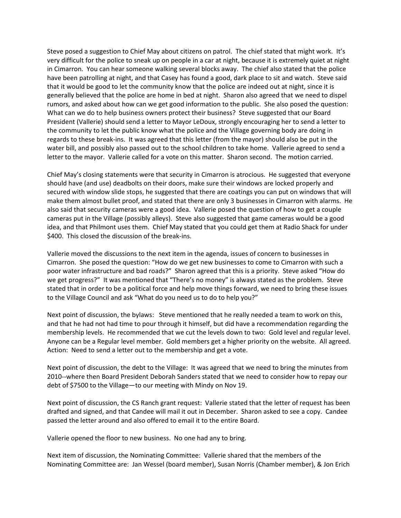Steve posed a suggestion to Chief May about citizens on patrol. The chief stated that might work. It's very difficult for the police to sneak up on people in a car at night, because it is extremely quiet at night in Cimarron. You can hear someone walking several blocks away. The chief also stated that the police have been patrolling at night, and that Casey has found a good, dark place to sit and watch. Steve said that it would be good to let the community know that the police are indeed out at night, since it is generally believed that the police are home in bed at night. Sharon also agreed that we need to dispel rumors, and asked about how can we get good information to the public. She also posed the question: What can we do to help business owners protect their business? Steve suggested that our Board President (Vallerie) should send a letter to Mayor LeDoux, strongly encouraging her to send a letter to the community to let the public know what the police and the Village governing body are doing in regards to these break-ins. It was agreed that this letter (from the mayor) should also be put in the water bill, and possibly also passed out to the school children to take home. Vallerie agreed to send a letter to the mayor. Vallerie called for a vote on this matter. Sharon second. The motion carried.

Chief May's closing statements were that security in Cimarron is atrocious. He suggested that everyone should have (and use) deadbolts on their doors, make sure their windows are locked properly and secured with window slide stops, he suggested that there are coatings you can put on windows that will make them almost bullet proof, and stated that there are only 3 businesses in Cimarron with alarms. He also said that security cameras were a good idea. Vallerie posed the question of how to get a couple cameras put in the Village (possibly alleys). Steve also suggested that game cameras would be a good idea, and that Philmont uses them. Chief May stated that you could get them at Radio Shack for under \$400. This closed the discussion of the break-ins.

Vallerie moved the discussions to the next item in the agenda, issues of concern to businesses in Cimarron. She posed the question: "How do we get new businesses to come to Cimarron with such a poor water infrastructure and bad roads?" Sharon agreed that this is a priority. Steve asked "How do we get progress?" It was mentioned that "There's no money" is always stated as the problem. Steve stated that in order to be a political force and help move things forward, we need to bring these issues to the Village Council and ask "What do you need us to do to help you?"

Next point of discussion, the bylaws: Steve mentioned that he really needed a team to work on this, and that he had not had time to pour through it himself, but did have a recommendation regarding the membership levels. He recommended that we cut the levels down to two: Gold level and regular level. Anyone can be a Regular level member. Gold members get a higher priority on the website. All agreed. Action: Need to send a letter out to the membership and get a vote.

Next point of discussion, the debt to the Village: It was agreed that we need to bring the minutes from 2010--where then Board President Deborah Sanders stated that we need to consider how to repay our debt of \$7500 to the Village—to our meeting with Mindy on Nov 19.

Next point of discussion, the CS Ranch grant request: Vallerie stated that the letter of request has been drafted and signed, and that Candee will mail it out in December. Sharon asked to see a copy. Candee passed the letter around and also offered to email it to the entire Board.

Vallerie opened the floor to new business. No one had any to bring.

Next item of discussion, the Nominating Committee: Vallerie shared that the members of the Nominating Committee are: Jan Wessel (board member), Susan Norris (Chamber member), & Jon Erich